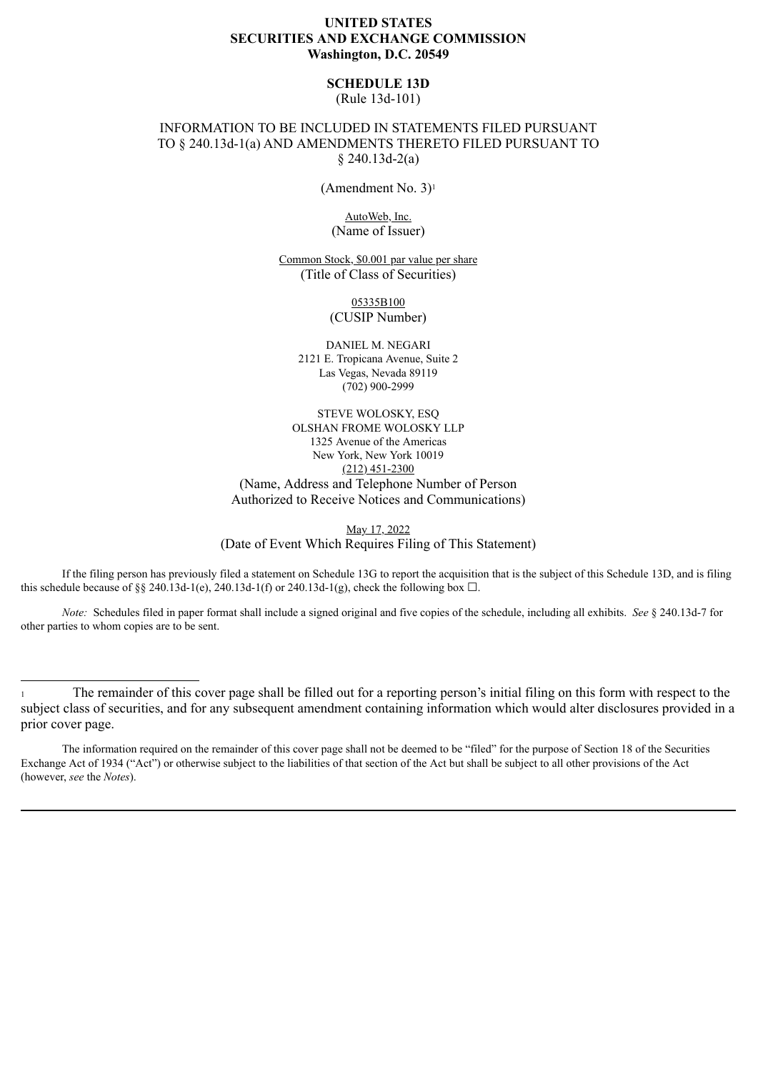## **UNITED STATES SECURITIES AND EXCHANGE COMMISSION Washington, D.C. 20549**

### **SCHEDULE 13D**

(Rule 13d-101)

## INFORMATION TO BE INCLUDED IN STATEMENTS FILED PURSUANT TO § 240.13d-1(a) AND AMENDMENTS THERETO FILED PURSUANT TO § 240.13d-2(a)

(Amendment No. 3)<sup>1</sup>

AutoWeb, Inc. (Name of Issuer)

Common Stock, \$0.001 par value per share (Title of Class of Securities)

> 05335B100 (CUSIP Number)

DANIEL M. NEGARI 2121 E. Tropicana Avenue, Suite 2 Las Vegas, Nevada 89119 (702) 900-2999

STEVE WOLOSKY, ESQ OLSHAN FROME WOLOSKY LLP 1325 Avenue of the Americas New York, New York 10019  $(212)$  451-2300 (Name, Address and Telephone Number of Person Authorized to Receive Notices and Communications)

May 17, 2022 (Date of Event Which Requires Filing of This Statement)

If the filing person has previously filed a statement on Schedule 13G to report the acquisition that is the subject of this Schedule 13D, and is filing this schedule because of §§ 240.13d-1(e), 240.13d-1(f) or 240.13d-1(g), check the following box  $\Box$ .

*Note:* Schedules filed in paper format shall include a signed original and five copies of the schedule, including all exhibits. *See* § 240.13d-7 for other parties to whom copies are to be sent.

<sup>1</sup> The remainder of this cover page shall be filled out for a reporting person's initial filing on this form with respect to the subject class of securities, and for any subsequent amendment containing information which would alter disclosures provided in a prior cover page.

The information required on the remainder of this cover page shall not be deemed to be "filed" for the purpose of Section 18 of the Securities Exchange Act of 1934 ("Act") or otherwise subject to the liabilities of that section of the Act but shall be subject to all other provisions of the Act (however, *see* the *Notes*).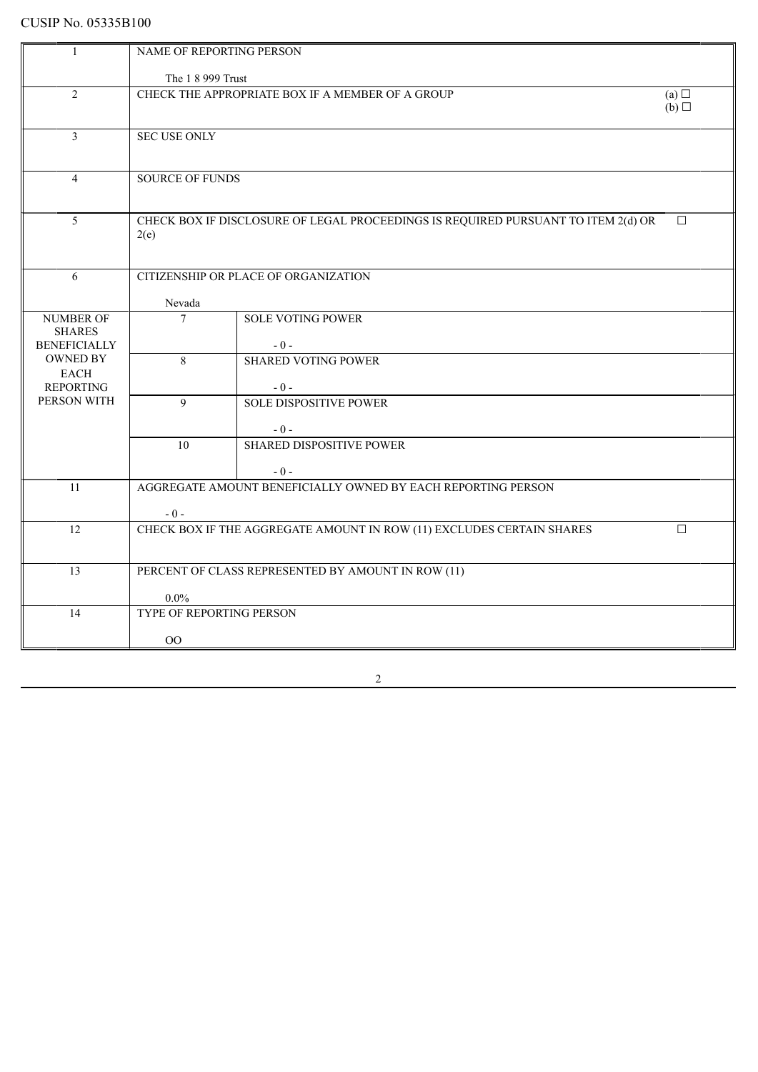# CUSIP No. 05335B100

| -1                  | <b>NAME OF REPORTING PERSON</b>                                                          |                                 |  |  |  |  |
|---------------------|------------------------------------------------------------------------------------------|---------------------------------|--|--|--|--|
|                     |                                                                                          |                                 |  |  |  |  |
| $\overline{2}$      | The 1 8 999 Trust<br>CHECK THE APPROPRIATE BOX IF A MEMBER OF A GROUP                    |                                 |  |  |  |  |
|                     | (a)<br>$(b)$ $\square$                                                                   |                                 |  |  |  |  |
|                     |                                                                                          |                                 |  |  |  |  |
| $\overline{3}$      | <b>SEC USE ONLY</b>                                                                      |                                 |  |  |  |  |
|                     |                                                                                          |                                 |  |  |  |  |
|                     |                                                                                          |                                 |  |  |  |  |
| $\overline{4}$      | <b>SOURCE OF FUNDS</b>                                                                   |                                 |  |  |  |  |
|                     |                                                                                          |                                 |  |  |  |  |
| 5                   | CHECK BOX IF DISCLOSURE OF LEGAL PROCEEDINGS IS REQUIRED PURSUANT TO ITEM 2(d) OR        |                                 |  |  |  |  |
|                     | $\Box$<br>2(e)                                                                           |                                 |  |  |  |  |
|                     |                                                                                          |                                 |  |  |  |  |
|                     |                                                                                          |                                 |  |  |  |  |
| 6                   | CITIZENSHIP OR PLACE OF ORGANIZATION                                                     |                                 |  |  |  |  |
|                     | Nevada                                                                                   |                                 |  |  |  |  |
| NUMBER OF           | $\overline{7}$                                                                           | <b>SOLE VOTING POWER</b>        |  |  |  |  |
| <b>SHARES</b>       |                                                                                          |                                 |  |  |  |  |
| <b>BENEFICIALLY</b> |                                                                                          | $-0-$                           |  |  |  |  |
| <b>OWNED BY</b>     | 8                                                                                        | <b>SHARED VOTING POWER</b>      |  |  |  |  |
| <b>EACH</b>         |                                                                                          |                                 |  |  |  |  |
| <b>REPORTING</b>    |                                                                                          | $-0-$                           |  |  |  |  |
| PERSON WITH         | $\mathbf{Q}$                                                                             | <b>SOLE DISPOSITIVE POWER</b>   |  |  |  |  |
|                     |                                                                                          | $-0-$                           |  |  |  |  |
|                     | 10 <sup>1</sup>                                                                          | <b>SHARED DISPOSITIVE POWER</b> |  |  |  |  |
|                     |                                                                                          |                                 |  |  |  |  |
|                     |                                                                                          | $-0-$                           |  |  |  |  |
| 11                  | AGGREGATE AMOUNT BENEFICIALLY OWNED BY EACH REPORTING PERSON                             |                                 |  |  |  |  |
|                     |                                                                                          |                                 |  |  |  |  |
| 12                  | $-0-$<br>CHECK BOX IF THE AGGREGATE AMOUNT IN ROW (11) EXCLUDES CERTAIN SHARES<br>$\Box$ |                                 |  |  |  |  |
|                     |                                                                                          |                                 |  |  |  |  |
|                     |                                                                                          |                                 |  |  |  |  |
| 13                  | PERCENT OF CLASS REPRESENTED BY AMOUNT IN ROW (11)                                       |                                 |  |  |  |  |
|                     |                                                                                          |                                 |  |  |  |  |
|                     | $0.0\%$                                                                                  |                                 |  |  |  |  |
| 14                  | TYPE OF REPORTING PERSON                                                                 |                                 |  |  |  |  |
|                     | $00\,$                                                                                   |                                 |  |  |  |  |
|                     |                                                                                          |                                 |  |  |  |  |

2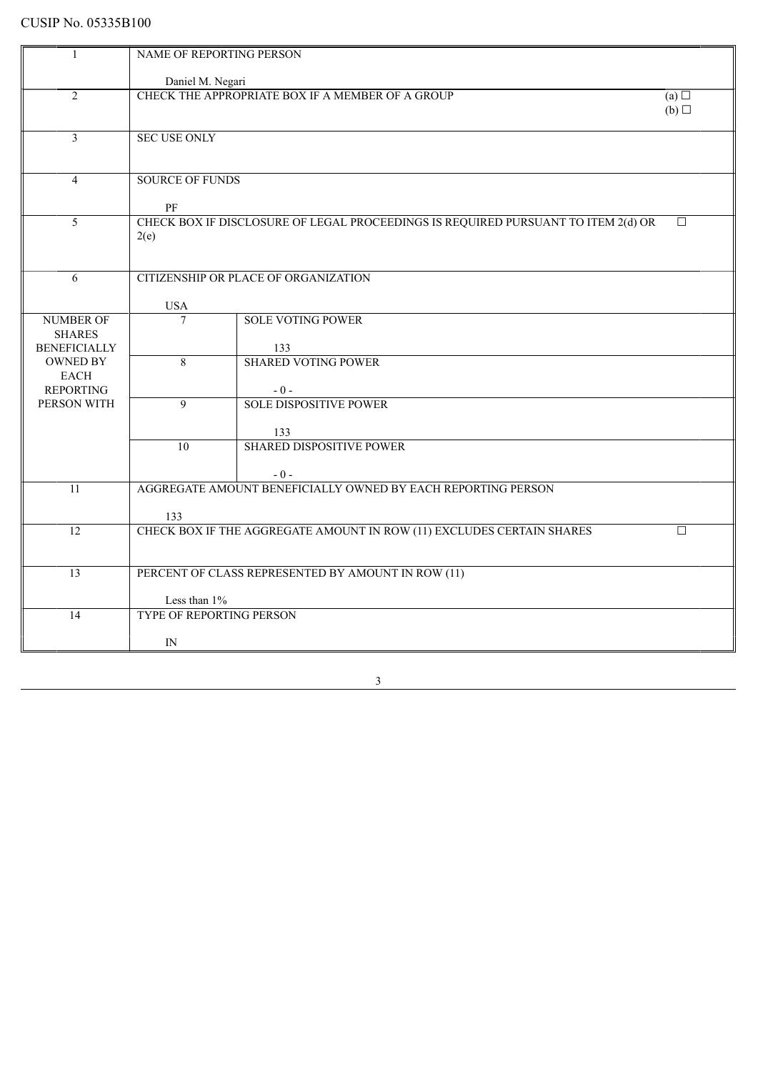# CUSIP No. 05335B100

|                                        | NAME OF REPORTING PERSON                                              |                                                                                             |  |  |  |
|----------------------------------------|-----------------------------------------------------------------------|---------------------------------------------------------------------------------------------|--|--|--|
|                                        | Daniel M. Negari                                                      |                                                                                             |  |  |  |
| 2                                      | CHECK THE APPROPRIATE BOX IF A MEMBER OF A GROUP                      |                                                                                             |  |  |  |
|                                        | (a)<br>(b)                                                            |                                                                                             |  |  |  |
|                                        |                                                                       |                                                                                             |  |  |  |
| $\overline{\mathbf{3}}$                | <b>SEC USE ONLY</b>                                                   |                                                                                             |  |  |  |
|                                        |                                                                       |                                                                                             |  |  |  |
| $\overline{4}$                         | <b>SOURCE OF FUNDS</b>                                                |                                                                                             |  |  |  |
|                                        |                                                                       |                                                                                             |  |  |  |
|                                        | PF                                                                    |                                                                                             |  |  |  |
| $\overline{5}$                         |                                                                       | CHECK BOX IF DISCLOSURE OF LEGAL PROCEEDINGS IS REQUIRED PURSUANT TO ITEM 2(d) OR<br>$\Box$ |  |  |  |
|                                        | 2(e)                                                                  |                                                                                             |  |  |  |
|                                        |                                                                       |                                                                                             |  |  |  |
| 6                                      | CITIZENSHIP OR PLACE OF ORGANIZATION                                  |                                                                                             |  |  |  |
|                                        |                                                                       |                                                                                             |  |  |  |
|                                        | <b>USA</b>                                                            |                                                                                             |  |  |  |
| <b>NUMBER OF</b>                       | $\overline{7}$                                                        | <b>SOLE VOTING POWER</b>                                                                    |  |  |  |
| <b>SHARES</b>                          |                                                                       |                                                                                             |  |  |  |
| <b>BENEFICIALLY</b><br><b>OWNED BY</b> | $\overline{8}$                                                        | 133<br><b>SHARED VOTING POWER</b>                                                           |  |  |  |
| <b>EACH</b>                            |                                                                       |                                                                                             |  |  |  |
| <b>REPORTING</b>                       |                                                                       | $-0-$                                                                                       |  |  |  |
| PERSON WITH                            | 9                                                                     | <b>SOLE DISPOSITIVE POWER</b>                                                               |  |  |  |
|                                        |                                                                       |                                                                                             |  |  |  |
|                                        |                                                                       | 133                                                                                         |  |  |  |
|                                        | $\overline{10}$                                                       | <b>SHARED DISPOSITIVE POWER</b>                                                             |  |  |  |
|                                        |                                                                       | $-0-$                                                                                       |  |  |  |
| 11                                     | AGGREGATE AMOUNT BENEFICIALLY OWNED BY EACH REPORTING PERSON          |                                                                                             |  |  |  |
|                                        |                                                                       |                                                                                             |  |  |  |
|                                        | 133<br>□                                                              |                                                                                             |  |  |  |
| $\overline{12}$                        | CHECK BOX IF THE AGGREGATE AMOUNT IN ROW (11) EXCLUDES CERTAIN SHARES |                                                                                             |  |  |  |
|                                        |                                                                       |                                                                                             |  |  |  |
| $\overline{13}$                        | PERCENT OF CLASS REPRESENTED BY AMOUNT IN ROW (11)                    |                                                                                             |  |  |  |
|                                        |                                                                       |                                                                                             |  |  |  |
|                                        | Less than 1%<br>TYPE OF REPORTING PERSON                              |                                                                                             |  |  |  |
|                                        | 14                                                                    |                                                                                             |  |  |  |
|                                        | IN                                                                    |                                                                                             |  |  |  |
|                                        |                                                                       |                                                                                             |  |  |  |

3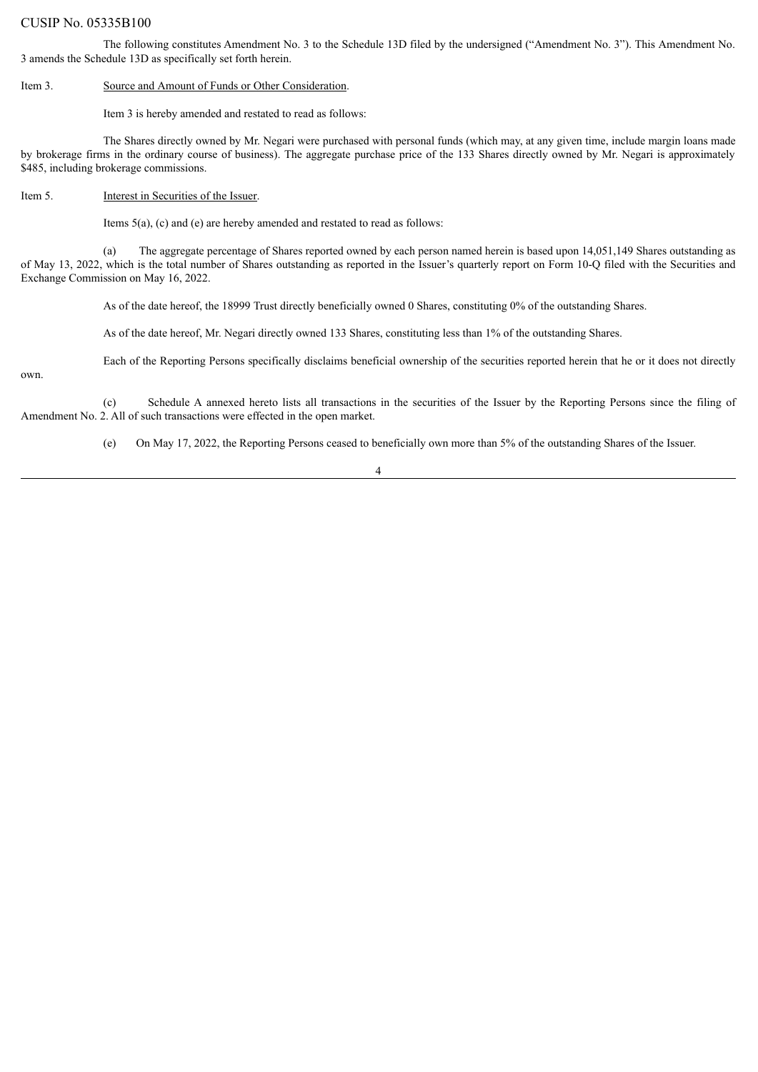#### CUSIP No. 05335B100

The following constitutes Amendment No. 3 to the Schedule 13D filed by the undersigned ("Amendment No. 3"). This Amendment No. 3 amends the Schedule 13D as specifically set forth herein.

Item 3. Source and Amount of Funds or Other Consideration.

Item 3 is hereby amended and restated to read as follows:

The Shares directly owned by Mr. Negari were purchased with personal funds (which may, at any given time, include margin loans made by brokerage firms in the ordinary course of business). The aggregate purchase price of the 133 Shares directly owned by Mr. Negari is approximately \$485, including brokerage commissions.

Item 5. Interest in Securities of the Issuer.

Items 5(a), (c) and (e) are hereby amended and restated to read as follows:

(a) The aggregate percentage of Shares reported owned by each person named herein is based upon 14,051,149 Shares outstanding as of May 13, 2022, which is the total number of Shares outstanding as reported in the Issuer's quarterly report on Form 10-Q filed with the Securities and Exchange Commission on May 16, 2022.

As of the date hereof, the 18999 Trust directly beneficially owned 0 Shares, constituting 0% of the outstanding Shares.

As of the date hereof, Mr. Negari directly owned 133 Shares, constituting less than 1% of the outstanding Shares.

Each of the Reporting Persons specifically disclaims beneficial ownership of the securities reported herein that he or it does not directly

own.

(c) Schedule A annexed hereto lists all transactions in the securities of the Issuer by the Reporting Persons since the filing of Amendment No. 2. All of such transactions were effected in the open market.

(e) On May 17, 2022, the Reporting Persons ceased to beneficially own more than 5% of the outstanding Shares of the Issuer.

4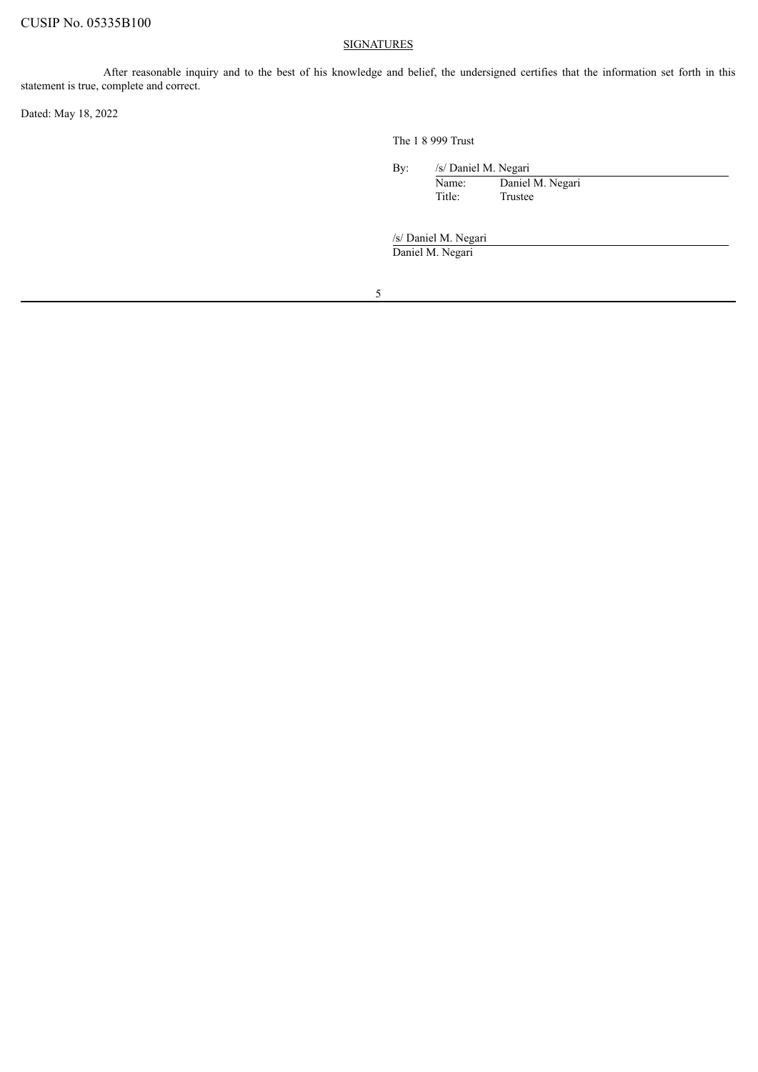#### **SIGNATURES**

After reasonable inquiry and to the best of his knowledge and belief, the undersigned certifies that the information set forth in this statement is true, complete and correct.

Dated: May 18, 2022

The 1 8 999 Trust

By: /s/ Daniel M. Negari

Name: Daniel M. Negari Title: Trustee

/s/ Daniel M. Negari

Daniel M. Negari